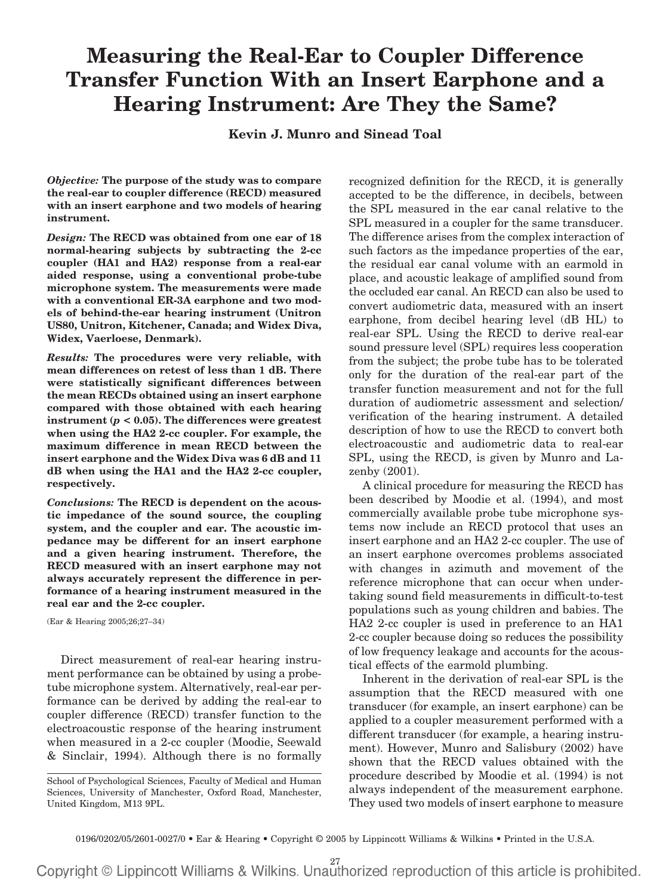# **Measuring the Real-Ear to Coupler Difference Transfer Function With an Insert Earphone and a Hearing Instrument: Are They the Same?**

**Kevin J. Munro and Sinead Toal**

*Objective:* **The purpose of the study was to compare the real-ear to coupler difference (RECD) measured with an insert earphone and two models of hearing instrument.**

*Design:* **The RECD was obtained from one ear of 18 normal-hearing subjects by subtracting the 2-cc coupler (HA1 and HA2) response from a real-ear aided response, using a conventional probe-tube microphone system. The measurements were made with a conventional ER-3A earphone and two models of behind-the-ear hearing instrument (Unitron US80, Unitron, Kitchener, Canada; and Widex Diva, Widex, Vaerloese, Denmark).**

*Results:* **The procedures were very reliable, with mean differences on retest of less than 1 dB. There were statistically significant differences between the mean RECDs obtained using an insert earphone compared with those obtained with each hearing instrument (***p* **< 0.05). The differences were greatest when using the HA2 2-cc coupler. For example, the maximum difference in mean RECD between the insert earphone and the Widex Diva was 6 dB and 11 dB when using the HA1 and the HA2 2-cc coupler, respectively.**

*Conclusions:* **The RECD is dependent on the acoustic impedance of the sound source, the coupling system, and the coupler and ear. The acoustic impedance may be different for an insert earphone and a given hearing instrument. Therefore, the RECD measured with an insert earphone may not always accurately represent the difference in performance of a hearing instrument measured in the real ear and the 2-cc coupler.**

(Ear & Hearing 2005;26;27–34)

Direct measurement of real-ear hearing instrument performance can be obtained by using a probetube microphone system. Alternatively, real-ear performance can be derived by adding the real-ear to coupler difference (RECD) transfer function to the electroacoustic response of the hearing instrument when measured in a 2-cc coupler (Moodie, Seewald & Sinclair, 1994). Although there is no formally

recognized definition for the RECD, it is generally accepted to be the difference, in decibels, between the SPL measured in the ear canal relative to the SPL measured in a coupler for the same transducer. The difference arises from the complex interaction of such factors as the impedance properties of the ear, the residual ear canal volume with an earmold in place, and acoustic leakage of amplified sound from the occluded ear canal. An RECD can also be used to convert audiometric data, measured with an insert earphone, from decibel hearing level (dB HL) to real-ear SPL. Using the RECD to derive real-ear sound pressure level (SPL) requires less cooperation from the subject; the probe tube has to be tolerated only for the duration of the real-ear part of the transfer function measurement and not for the full duration of audiometric assessment and selection/ verification of the hearing instrument. A detailed description of how to use the RECD to convert both electroacoustic and audiometric data to real-ear SPL, using the RECD, is given by Munro and Lazenby (2001).

A clinical procedure for measuring the RECD has been described by Moodie et al. (1994), and most commercially available probe tube microphone systems now include an RECD protocol that uses an insert earphone and an HA2 2-cc coupler. The use of an insert earphone overcomes problems associated with changes in azimuth and movement of the reference microphone that can occur when undertaking sound field measurements in difficult-to-test populations such as young children and babies. The HA2 2-cc coupler is used in preference to an HA1 2-cc coupler because doing so reduces the possibility of low frequency leakage and accounts for the acoustical effects of the earmold plumbing.

Inherent in the derivation of real-ear SPL is the assumption that the RECD measured with one transducer (for example, an insert earphone) can be applied to a coupler measurement performed with a different transducer (for example, a hearing instrument). However, Munro and Salisbury (2002) have shown that the RECD values obtained with the procedure described by Moodie et al. (1994) is not always independent of the measurement earphone. They used two models of insert earphone to measure

Copyright © Lippincott Williams & Wilkins. Unauthorized reproduction of this article is prohibited.

School of Psychological Sciences, Faculty of Medical and Human Sciences, University of Manchester, Oxford Road, Manchester, United Kingdom, M13 9PL.

<sup>0196/0202/05/2601-0027/0 •</sup> Ear & Hearing • Copyright © 2005 by Lippincott Williams & Wilkins • Printed in the U.S.A.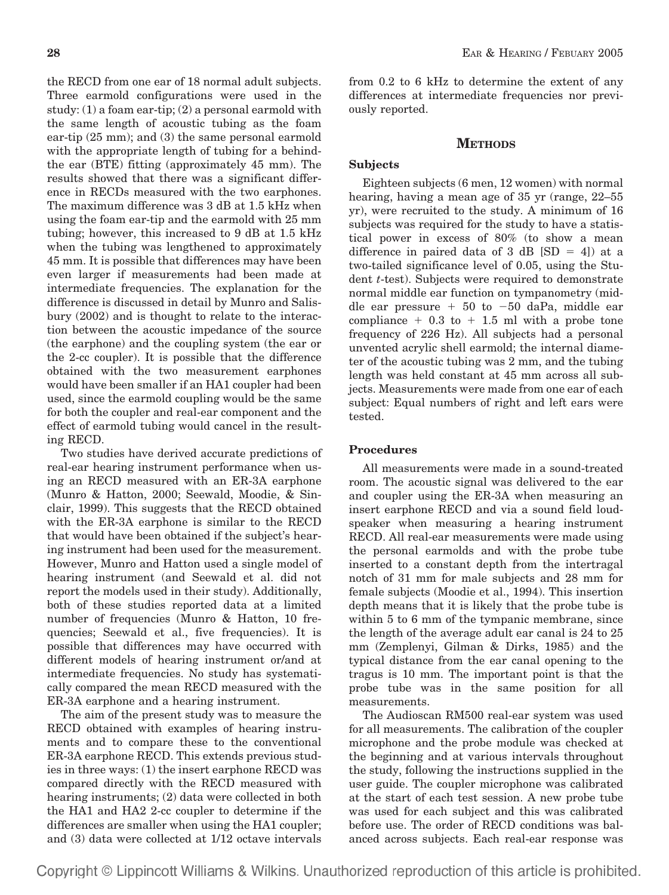the RECD from one ear of 18 normal adult subjects. Three earmold configurations were used in the study: (1) a foam ear-tip; (2) a personal earmold with the same length of acoustic tubing as the foam ear-tip (25 mm); and (3) the same personal earmold with the appropriate length of tubing for a behindthe ear (BTE) fitting (approximately 45 mm). The results showed that there was a significant difference in RECDs measured with the two earphones. The maximum difference was 3 dB at 1.5 kHz when using the foam ear-tip and the earmold with 25 mm tubing; however, this increased to 9 dB at 1.5 kHz when the tubing was lengthened to approximately 45 mm. It is possible that differences may have been even larger if measurements had been made at intermediate frequencies. The explanation for the difference is discussed in detail by Munro and Salisbury (2002) and is thought to relate to the interaction between the acoustic impedance of the source (the earphone) and the coupling system (the ear or the 2-cc coupler). It is possible that the difference obtained with the two measurement earphones would have been smaller if an HA1 coupler had been used, since the earmold coupling would be the same for both the coupler and real-ear component and the effect of earmold tubing would cancel in the resulting RECD.

Two studies have derived accurate predictions of real-ear hearing instrument performance when using an RECD measured with an ER-3A earphone (Munro & Hatton, 2000; Seewald, Moodie, & Sinclair, 1999). This suggests that the RECD obtained with the ER-3A earphone is similar to the RECD that would have been obtained if the subject's hearing instrument had been used for the measurement. However, Munro and Hatton used a single model of hearing instrument (and Seewald et al. did not report the models used in their study). Additionally, both of these studies reported data at a limited number of frequencies (Munro & Hatton, 10 frequencies; Seewald et al., five frequencies). It is possible that differences may have occurred with different models of hearing instrument or/and at intermediate frequencies. No study has systematically compared the mean RECD measured with the ER-3A earphone and a hearing instrument.

The aim of the present study was to measure the RECD obtained with examples of hearing instruments and to compare these to the conventional ER-3A earphone RECD. This extends previous studies in three ways: (1) the insert earphone RECD was compared directly with the RECD measured with hearing instruments; (2) data were collected in both the HA1 and HA2 2-cc coupler to determine if the differences are smaller when using the HA1 coupler; and (3) data were collected at 1/12 octave intervals

from 0.2 to 6 kHz to determine the extent of any differences at intermediate frequencies nor previously reported.

#### **METHODS**

#### **Subjects**

Eighteen subjects (6 men, 12 women) with normal hearing, having a mean age of 35 yr (range, 22–55 yr), were recruited to the study. A minimum of 16 subjects was required for the study to have a statistical power in excess of 80% (to show a mean difference in paired data of 3 dB  $[SD = 4]$ ) at a two-tailed significance level of 0.05, using the Student *t*-test). Subjects were required to demonstrate normal middle ear function on tympanometry (middle ear pressure  $+$  50 to  $-50$  daPa, middle ear compliance  $+$  0.3 to  $+$  1.5 ml with a probe tone frequency of 226 Hz). All subjects had a personal unvented acrylic shell earmold; the internal diameter of the acoustic tubing was 2 mm, and the tubing length was held constant at 45 mm across all subjects. Measurements were made from one ear of each subject: Equal numbers of right and left ears were tested.

## **Procedures**

All measurements were made in a sound-treated room. The acoustic signal was delivered to the ear and coupler using the ER-3A when measuring an insert earphone RECD and via a sound field loudspeaker when measuring a hearing instrument RECD. All real-ear measurements were made using the personal earmolds and with the probe tube inserted to a constant depth from the intertragal notch of 31 mm for male subjects and 28 mm for female subjects (Moodie et al., 1994). This insertion depth means that it is likely that the probe tube is within 5 to 6 mm of the tympanic membrane, since the length of the average adult ear canal is 24 to 25 mm (Zemplenyi, Gilman & Dirks, 1985) and the typical distance from the ear canal opening to the tragus is 10 mm. The important point is that the probe tube was in the same position for all measurements.

The Audioscan RM500 real-ear system was used for all measurements. The calibration of the coupler microphone and the probe module was checked at the beginning and at various intervals throughout the study, following the instructions supplied in the user guide. The coupler microphone was calibrated at the start of each test session. A new probe tube was used for each subject and this was calibrated before use. The order of RECD conditions was balanced across subjects. Each real-ear response was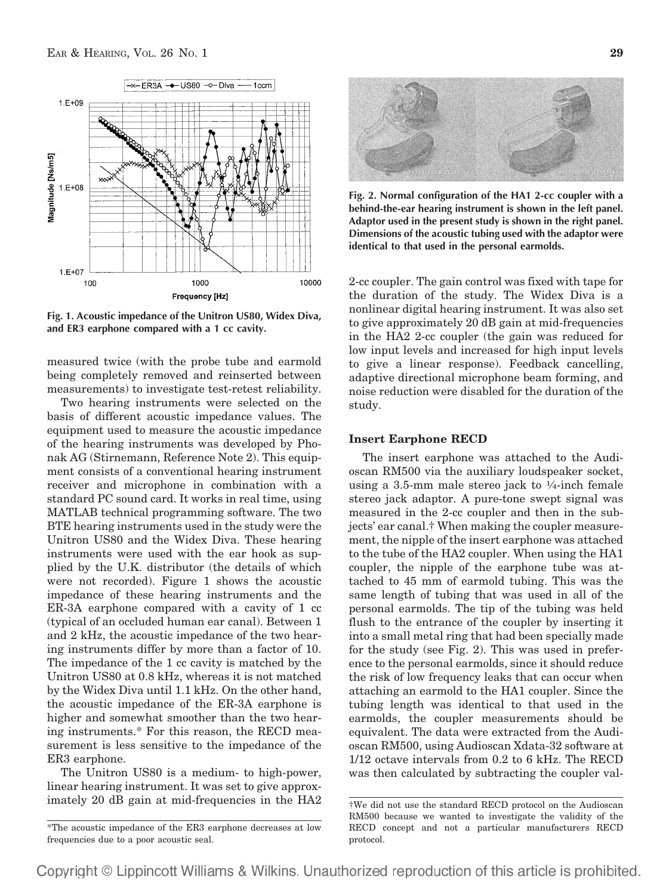

**Fig. 1. Acoustic impedance of the Unitron US80, Widex Diva, and ER3 earphone compared with a 1 cc cavity.**

measured twice (with the probe tube and earmold being completely removed and reinserted between measurements) to investigate test-retest reliability.

Two hearing instruments were selected on the basis of different acoustic impedance values. The equipment used to measure the acoustic impedance of the hearing instruments was developed by Phonak AG (Stirnemann, Reference Note 2). This equipment consists of a conventional hearing instrument receiver and microphone in combination with a standard PC sound card. It works in real time, using MATLAB technical programming software. The two BTE hearing instruments used in the study were the Unitron US80 and the Widex Diva. These hearing instruments were used with the ear hook as supplied by the U.K. distributor (the details of which were not recorded). Figure 1 shows the acoustic impedance of these hearing instruments and the ER-3A earphone compared with a cavity of 1 cc (typical of an occluded human ear canal). Between 1 and 2 kHz, the acoustic impedance of the two hearing instruments differ by more than a factor of 10. The impedance of the 1 cc cavity is matched by the Unitron US80 at 0.8 kHz, whereas it is not matched by the Widex Diva until 1.1 kHz. On the other hand, the acoustic impedance of the ER-3A earphone is higher and somewhat smoother than the two hearing instruments.\* For this reason, the RECD measurement is less sensitive to the impedance of the ER3 earphone.

The Unitron US80 is a medium- to high-power, linear hearing instrument. It was set to give approximately 20 dB gain at mid-frequencies in the HA2



**Fig. 2. Normal configuration of the HA1 2-cc coupler with a behind-the-ear hearing instrument is shown in the left panel. Adaptor used in the present study is shown in the right panel. Dimensions of the acoustic tubing used with the adaptor were identical to that used in the personal earmolds.**

2-cc coupler. The gain control was fixed with tape for the duration of the study. The Widex Diva is a nonlinear digital hearing instrument. It was also set to give approximately 20 dB gain at mid-frequencies in the HA2 2-cc coupler (the gain was reduced for low input levels and increased for high input levels to give a linear response). Feedback cancelling, adaptive directional microphone beam forming, and noise reduction were disabled for the duration of the study.

#### **Insert Earphone RECD**

The insert earphone was attached to the Audioscan RM500 via the auxiliary loudspeaker socket, using a 3.5-mm male stereo jack to  $\frac{1}{4}$ -inch female stereo jack adaptor. A pure-tone swept signal was measured in the 2-cc coupler and then in the subjects' ear canal.† When making the coupler measurement, the nipple of the insert earphone was attached to the tube of the HA2 coupler. When using the HA1 coupler, the nipple of the earphone tube was attached to 45 mm of earmold tubing. This was the same length of tubing that was used in all of the personal earmolds. The tip of the tubing was held flush to the entrance of the coupler by inserting it into a small metal ring that had been specially made for the study (see Fig. 2). This was used in preference to the personal earmolds, since it should reduce the risk of low frequency leaks that can occur when attaching an earmold to the HA1 coupler. Since the tubing length was identical to that used in the earmolds, the coupler measurements should be equivalent. The data were extracted from the Audioscan RM500, using Audioscan Xdata-32 software at 1/12 octave intervals from 0.2 to 6 kHz. The RECD was then calculated by subtracting the coupler val-

<sup>\*</sup>The acoustic impedance of the ER3 earphone decreases at low frequencies due to a poor acoustic seal.

<sup>†</sup>We did not use the standard RECD protocol on the Audioscan RM500 because we wanted to investigate the validity of the RECD concept and not a particular manufacturers RECD protocol.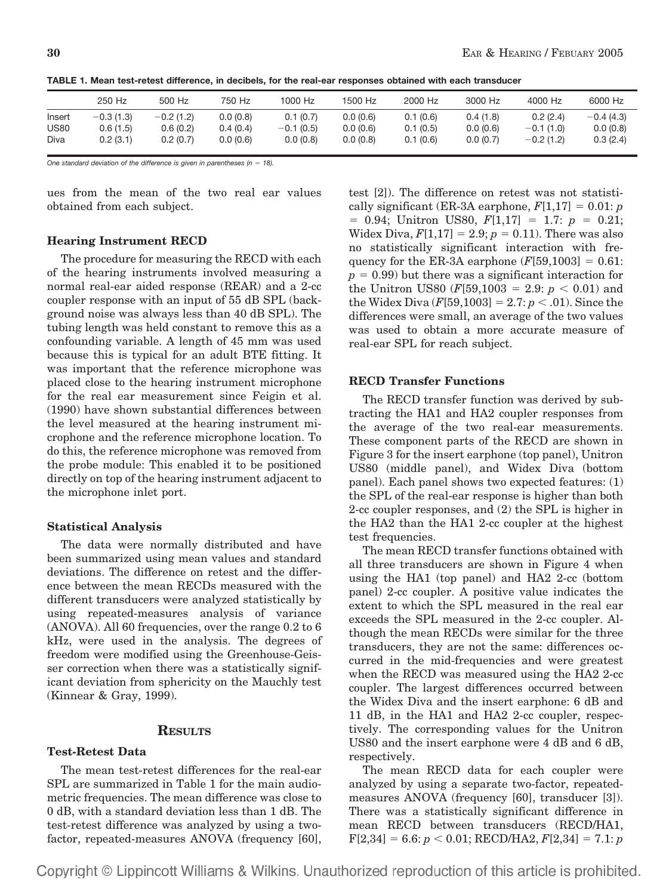|             | 250 Hz      | 500 Hz      | 750 Hz   | 1000 Hz     | 1500 Hz  | 2000 Hz  | 3000 Hz  | 4000 Hz     | 6000 Hz     |
|-------------|-------------|-------------|----------|-------------|----------|----------|----------|-------------|-------------|
| Insert      | $-0.3(1.3)$ | $-0.2(1.2)$ | 0.0(0.8) | 0.1(0.7)    | 0.0(0.6) | 0.1(0.6) | 0.4(1.8) | 0.2(2.4)    | $-0.4(4.3)$ |
| <b>US80</b> | 0.6(1.5)    | 0.6(0.2)    | 0.4(0.4) | $-0.1(0.5)$ | 0.0(0.6) | 0.1(0.5) | 0.0(0.6) | $-0.1(1.0)$ | 0.0(0.8)    |
| Diva        | 0.2(3.1)    | 0.2(0.7)    | 0.0(0.6) | 0.0(0.8)    | 0.0(0.8) | 0.1(0.6) | 0.0(0.7) | $-0.2(1.2)$ | 0.3(2.4)    |

**TABLE 1. Mean test-retest difference, in decibels, for the real-ear responses obtained with each transducer**

One standard deviation of the difference is given in parentheses  $(n = 18)$ .

ues from the mean of the two real ear values obtained from each subject.

## **Hearing Instrument RECD**

The procedure for measuring the RECD with each of the hearing instruments involved measuring a normal real-ear aided response (REAR) and a 2-cc coupler response with an input of 55 dB SPL (background noise was always less than 40 dB SPL). The tubing length was held constant to remove this as a confounding variable. A length of 45 mm was used because this is typical for an adult BTE fitting. It was important that the reference microphone was placed close to the hearing instrument microphone for the real ear measurement since Feigin et al. (1990) have shown substantial differences between the level measured at the hearing instrument microphone and the reference microphone location. To do this, the reference microphone was removed from the probe module: This enabled it to be positioned directly on top of the hearing instrument adjacent to the microphone inlet port.

## **Statistical Analysis**

The data were normally distributed and have been summarized using mean values and standard deviations. The difference on retest and the difference between the mean RECDs measured with the different transducers were analyzed statistically by using repeated-measures analysis of variance (ANOVA). All 60 frequencies, over the range 0.2 to 6 kHz, were used in the analysis. The degrees of freedom were modified using the Greenhouse-Geisser correction when there was a statistically significant deviation from sphericity on the Mauchly test (Kinnear & Gray, 1999).

## **RESULTS**

## **Test-Retest Data**

The mean test-retest differences for the real-ear SPL are summarized in Table 1 for the main audiometric frequencies. The mean difference was close to 0 dB, with a standard deviation less than 1 dB. The test-retest difference was analyzed by using a twofactor, repeated-measures ANOVA (frequency [60],

test [2]). The difference on retest was not statistically significant (ER-3A earphone,  $F[1,17] = 0.01$ : *p*  $= 0.94$ ; Unitron US80,  $F[1,17] = 1.7$ :  $p = 0.21$ ; Widex Diva,  $F[1,17] = 2.9$ ;  $p = 0.11$ ). There was also no statistically significant interaction with frequency for the ER-3A earphone  $(F[59,1003] = 0.61$ :  $p = 0.99$ ) but there was a significant interaction for the Unitron US80 ( $F$ [59,1003 = 2.9:  $p < 0.01$ ) and the Widex Diva  $(F[59,1003] = 2.7: p < .01)$ . Since the differences were small, an average of the two values was used to obtain a more accurate measure of real-ear SPL for reach subject.

## **RECD Transfer Functions**

The RECD transfer function was derived by subtracting the HA1 and HA2 coupler responses from the average of the two real-ear measurements. These component parts of the RECD are shown in Figure 3 for the insert earphone (top panel), Unitron US80 (middle panel), and Widex Diva (bottom panel). Each panel shows two expected features: (1) the SPL of the real-ear response is higher than both 2-cc coupler responses, and (2) the SPL is higher in the HA2 than the HA1 2-cc coupler at the highest test frequencies.

The mean RECD transfer functions obtained with all three transducers are shown in Figure 4 when using the HA1 (top panel) and HA2 2-cc (bottom panel) 2-cc coupler. A positive value indicates the extent to which the SPL measured in the real ear exceeds the SPL measured in the 2-cc coupler. Although the mean RECDs were similar for the three transducers, they are not the same: differences occurred in the mid-frequencies and were greatest when the RECD was measured using the HA2 2-cc coupler. The largest differences occurred between the Widex Diva and the insert earphone: 6 dB and 11 dB, in the HA1 and HA2 2-cc coupler, respectively. The corresponding values for the Unitron US80 and the insert earphone were 4 dB and 6 dB, respectively.

The mean RECD data for each coupler were analyzed by using a separate two-factor, repeatedmeasures ANOVA (frequency [60], transducer [3]). There was a statistically significant difference in mean RECD between transducers (RECD/HA1,  $F[2,34] = 6.6: p < 0.01;$  RECD/HA2,  $F[2,34] = 7.1: p$ 

Copyright © Lippincott Williams & Wilkins. Unauthorized reproduction of this article is prohibited.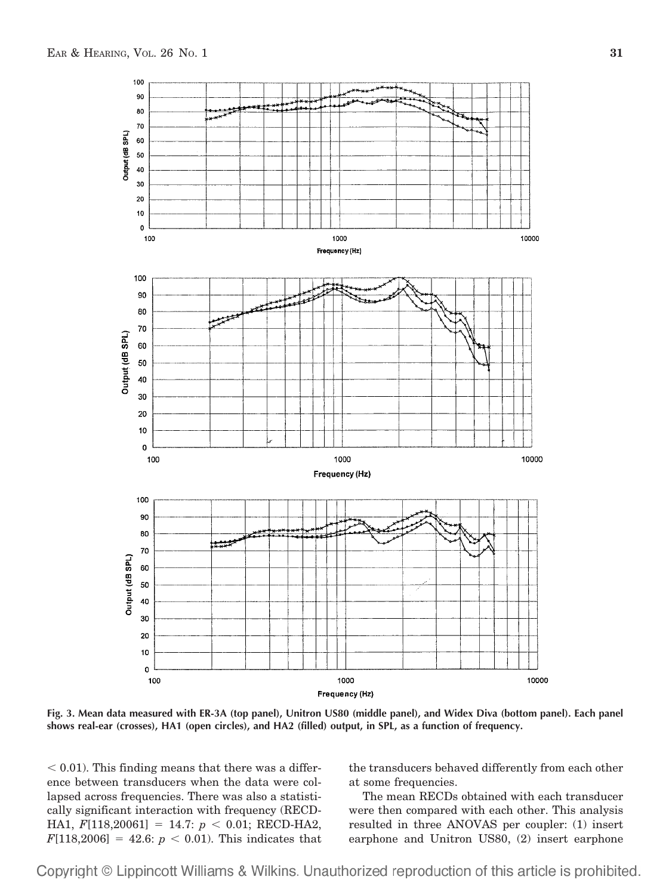

**Fig. 3. Mean data measured with ER-3A (top panel), Unitron US80 (middle panel), and Widex Diva (bottom panel). Each panel shows real-ear (crosses), HA1 (open circles), and HA2 (filled) output, in SPL, as a function of frequency.**

 $< 0.01$ ). This finding means that there was a difference between transducers when the data were collapsed across frequencies. There was also a statistically significant interaction with frequency (RECD-HA1,  $F[118,20061] = 14.7: p < 0.01;$  RECD-HA2,  $F[118,2006] = 42.6: p < 0.01$ . This indicates that

the transducers behaved differently from each other at some frequencies.

The mean RECDs obtained with each transducer were then compared with each other. This analysis resulted in three ANOVAS per coupler: (1) insert earphone and Unitron US80, (2) insert earphone

Copyright © Lippincott Williams & Wilkins. Unauthorized reproduction of this article is prohibited.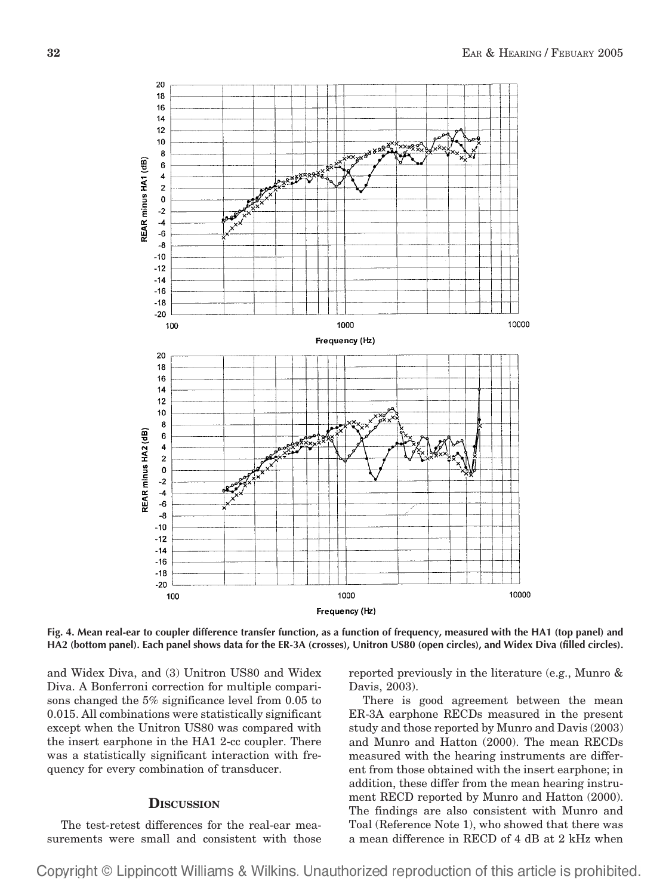

**Fig. 4. Mean real-ear to coupler difference transfer function, as a function of frequency, measured with the HA1 (top panel) and HA2 (bottom panel). Each panel shows data for the ER-3A (crosses), Unitron US80 (open circles), and Widex Diva (filled circles).**

and Widex Diva, and (3) Unitron US80 and Widex Diva. A Bonferroni correction for multiple comparisons changed the 5% significance level from 0.05 to 0.015. All combinations were statistically significant except when the Unitron US80 was compared with the insert earphone in the HA1 2-cc coupler. There was a statistically significant interaction with frequency for every combination of transducer.

# **DISCUSSION**

The test-retest differences for the real-ear measurements were small and consistent with those reported previously in the literature (e.g., Munro & Davis, 2003).

There is good agreement between the mean ER-3A earphone RECDs measured in the present study and those reported by Munro and Davis (2003) and Munro and Hatton (2000). The mean RECDs measured with the hearing instruments are different from those obtained with the insert earphone; in addition, these differ from the mean hearing instrument RECD reported by Munro and Hatton (2000). The findings are also consistent with Munro and Toal (Reference Note 1), who showed that there was a mean difference in RECD of 4 dB at 2 kHz when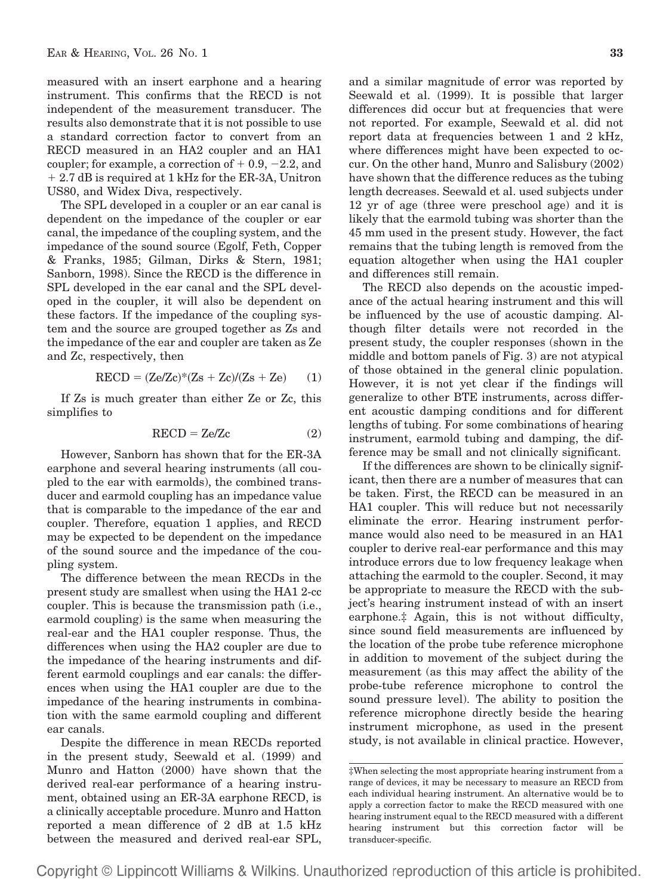measured with an insert earphone and a hearing instrument. This confirms that the RECD is not independent of the measurement transducer. The results also demonstrate that it is not possible to use a standard correction factor to convert from an RECD measured in an HA2 coupler and an HA1 coupler; for example, a correction of  $+$  0.9,  $-2.2$ , and - 2.7 dB is required at 1 kHz for the ER-3A, Unitron US80, and Widex Diva, respectively.

The SPL developed in a coupler or an ear canal is dependent on the impedance of the coupler or ear canal, the impedance of the coupling system, and the impedance of the sound source (Egolf, Feth, Copper & Franks, 1985; Gilman, Dirks & Stern, 1981; Sanborn, 1998). Since the RECD is the difference in SPL developed in the ear canal and the SPL developed in the coupler, it will also be dependent on these factors. If the impedance of the coupling system and the source are grouped together as Zs and the impedance of the ear and coupler are taken as Ze and Zc, respectively, then

$$
RECD = (Ze/Zc)*(Zs + Zc)/(Zs + Ze)
$$
 (1)

If Zs is much greater than either Ze or Zc, this simplifies to

$$
RECD = Ze/Zc
$$
 (2)

However, Sanborn has shown that for the ER-3A earphone and several hearing instruments (all coupled to the ear with earmolds), the combined transducer and earmold coupling has an impedance value that is comparable to the impedance of the ear and coupler. Therefore, equation 1 applies, and RECD may be expected to be dependent on the impedance of the sound source and the impedance of the coupling system.

The difference between the mean RECDs in the present study are smallest when using the HA1 2-cc coupler. This is because the transmission path (i.e., earmold coupling) is the same when measuring the real-ear and the HA1 coupler response. Thus, the differences when using the HA2 coupler are due to the impedance of the hearing instruments and different earmold couplings and ear canals: the differences when using the HA1 coupler are due to the impedance of the hearing instruments in combination with the same earmold coupling and different ear canals.

Despite the difference in mean RECDs reported in the present study, Seewald et al. (1999) and Munro and Hatton (2000) have shown that the derived real-ear performance of a hearing instrument, obtained using an ER-3A earphone RECD, is a clinically acceptable procedure. Munro and Hatton reported a mean difference of 2 dB at 1.5 kHz between the measured and derived real-ear SPL,

and a similar magnitude of error was reported by Seewald et al. (1999). It is possible that larger differences did occur but at frequencies that were not reported. For example, Seewald et al. did not report data at frequencies between 1 and 2 kHz, where differences might have been expected to occur. On the other hand, Munro and Salisbury (2002) have shown that the difference reduces as the tubing length decreases. Seewald et al. used subjects under 12 yr of age (three were preschool age) and it is likely that the earmold tubing was shorter than the 45 mm used in the present study. However, the fact remains that the tubing length is removed from the equation altogether when using the HA1 coupler and differences still remain.

The RECD also depends on the acoustic impedance of the actual hearing instrument and this will be influenced by the use of acoustic damping. Although filter details were not recorded in the present study, the coupler responses (shown in the middle and bottom panels of Fig. 3) are not atypical of those obtained in the general clinic population. However, it is not yet clear if the findings will generalize to other BTE instruments, across different acoustic damping conditions and for different lengths of tubing. For some combinations of hearing instrument, earmold tubing and damping, the difference may be small and not clinically significant.

If the differences are shown to be clinically significant, then there are a number of measures that can be taken. First, the RECD can be measured in an HA1 coupler. This will reduce but not necessarily eliminate the error. Hearing instrument performance would also need to be measured in an HA1 coupler to derive real-ear performance and this may introduce errors due to low frequency leakage when attaching the earmold to the coupler. Second, it may be appropriate to measure the RECD with the subject's hearing instrument instead of with an insert earphone.‡ Again, this is not without difficulty, since sound field measurements are influenced by the location of the probe tube reference microphone in addition to movement of the subject during the measurement (as this may affect the ability of the probe-tube reference microphone to control the sound pressure level). The ability to position the reference microphone directly beside the hearing instrument microphone, as used in the present study, is not available in clinical practice. However,

<sup>‡</sup>When selecting the most appropriate hearing instrument from a range of devices, it may be necessary to measure an RECD from each individual hearing instrument. An alternative would be to apply a correction factor to make the RECD measured with one hearing instrument equal to the RECD measured with a different hearing instrument but this correction factor will be transducer-specific.